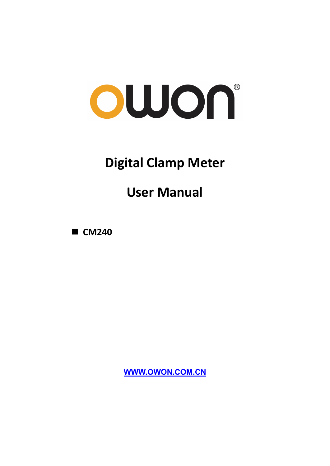# owon®

## **Digital Clamp Meter**

## **User Manual**

**CM240** 

**[WWW.OWON.COM.CN](http://www.owon.com.cn/)**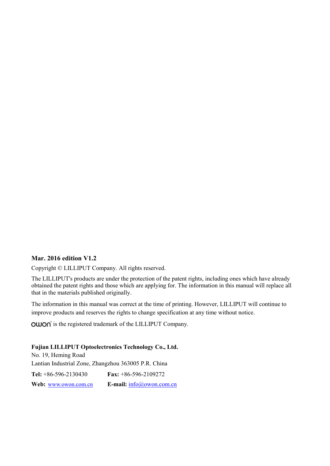#### **Mar. 2016 edition V1.2**

Copyright © LILLIPUT Company. All rights reserved.

The LILLIPUT's products are under the protection of the patent rights, including ones which have already obtained the patent rights and those which are applying for. The information in this manual will replace all that in the materials published originally.

The information in this manual was correct at the time of printing. However, LILLIPUT will continue to improve products and reserves the rights to change specification at any time without notice.

**OWON** is the registered trademark of the LILLIPUT Company.

#### **Fujian LILLIPUT Optoelectronics Technology Co., Ltd.**

No. 19, Heming Road Lantian Industrial Zone, Zhangzhou 363005 P.R. China **Tel:** +86-596-2130430 **Fax:** +86-596-2109272 Web: [www.owon.com.cn](http://www.owon.com.cn/) **E-mail:** [info@owon.com.cn](mailto:info@owon.com.cn)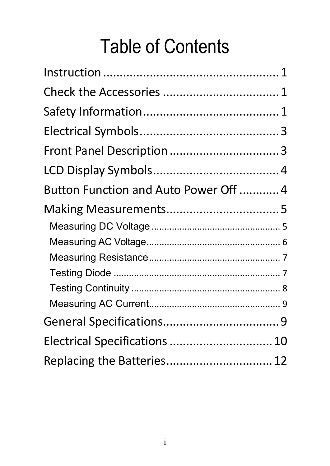## Table of Contents

| Button Function and Auto Power Off  4 |  |
|---------------------------------------|--|
|                                       |  |
|                                       |  |
|                                       |  |
|                                       |  |
|                                       |  |
|                                       |  |
|                                       |  |
|                                       |  |
| Electrical Specifications  10         |  |
| Replacing the Batteries 12            |  |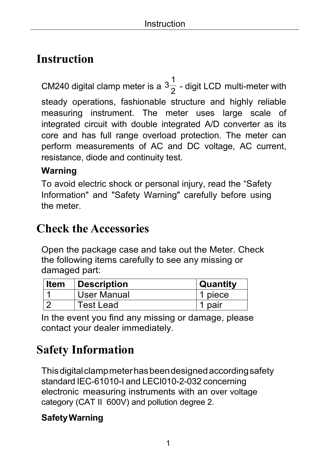## <span id="page-3-0"></span>**Instruction**

CM240 digital clamp meter is a  $3\frac{1}{2}$  $\frac{1}{2}$  - digit LCD multi-meter with steady operations, fashionable structure and highly reliable measuring instrument. The meter uses large scale of integrated circuit with double integrated A/D converter as its core and has full range overload protection. The meter can perform measurements of AC and DC voltage, AC current, resistance, diode and continuity test.

#### **Warning**

To avoid electric shock or personal injury, read the "Safety Information" and "Safety Warning" carefully before using the meter.

## <span id="page-3-1"></span>**Check the Accessories**

Open the package case and take out the Meter. Check the following items carefully to see any missing or damaged part:

| ∣ Item | Description      | Quantity |
|--------|------------------|----------|
|        | User Manual      | 1 piece  |
|        | <b>Test Lead</b> | 1 pair   |

In the event you find any missing or damage, please contact your dealer immediately.

## <span id="page-3-2"></span>**Safety Information**

Thisdigitalclampmeterhasbeendesignedaccordingsafety standard IEC-61010-I and LECI010-2-032 concerning electronic measuring instruments with an over voltage category (CAT II 600V) and pollution degree 2.

#### **SafetyWarning**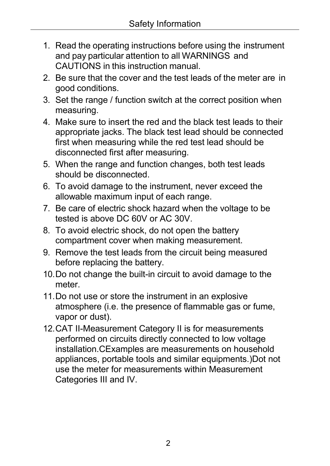- 1. Read the operating instructions before using the instrument and pay particular attention to all WARNINGS and CAUTIONS in this instruction manual.
- 2. Be sure that the cover and the test leads of the meter are in good conditions.
- 3. Set the range / function switch at the correct position when measuring.
- 4. Make sure to insert the red and the black test leads to their appropriate jacks. The black test lead should be connected first when measuring while the red test lead should be disconnected first after measuring.
- 5. When the range and function changes, both test leads should be disconnected.
- 6. To avoid damage to the instrument, never exceed the allowable maximum input of each range.
- 7. Be care of electric shock hazard when the voltage to be tested is above DC 60V or AC 30V.
- 8. To avoid electric shock, do not open the battery compartment cover when making measurement.
- 9. Remove the test leads from the circuit being measured before replacing the battery.
- 10.Do not change the built-in circuit to avoid damage to the meter.
- 11.Do not use or store the instrument in an explosive atmosphere (i.e. the presence of flammable gas or fume, vapor or dust).
- 12.CAT II-Measurement Category II is for measurements performed on circuits directly connected to low voltage installation.CExamples are measurements on household appliances, portable tools and similar equipments.)Dot not use the meter for measurements within Measurement Categories III and IV.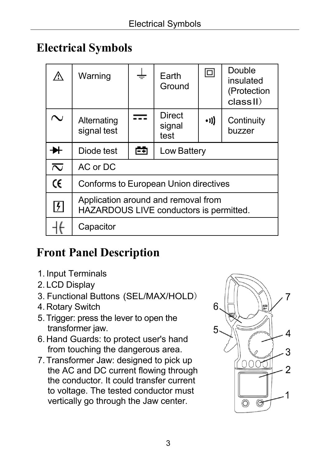## <span id="page-5-0"></span>**Electrical Symbols**

|                            | Warning                                                                        |   | Earth<br>Ground                 | $\Box$       | Double<br>insulated<br>(Protection<br>classII) |
|----------------------------|--------------------------------------------------------------------------------|---|---------------------------------|--------------|------------------------------------------------|
|                            | Alternating<br>signal test                                                     |   | <b>Direct</b><br>signal<br>test | $\bullet$ )) | Continuity<br>buzzer                           |
|                            | Diode test                                                                     | 中 | <b>Low Battery</b>              |              |                                                |
| $\overline{\sim}$          | AC or DC                                                                       |   |                                 |              |                                                |
| Œ                          | <b>Conforms to European Union directives</b>                                   |   |                                 |              |                                                |
| $\vert \mathfrak{f} \vert$ | Application around and removal from<br>HAZARDOUS LIVE conductors is permitted. |   |                                 |              |                                                |
|                            | Capacitor                                                                      |   |                                 |              |                                                |

## <span id="page-5-1"></span>**Front Panel Description**

- 1. Input Terminals
- 2. LCD Display
- 3. Functional Buttons (SEL/MAX/HOLD)
- 4. Rotary Switch
- 5.Trigger: press the lever to open the transformer jaw.
- 6. Hand Guards: to protect user's hand from touching the dangerous area.
- 7. Transformer Jaw: designed to pick up the AC and DC current flowing through the conductor. It could transfer current to voltage. The tested conductor must vertically go through the Jaw center.

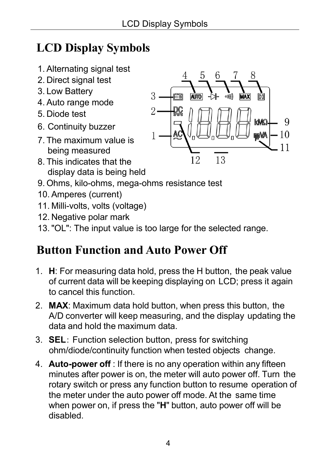## <span id="page-6-0"></span>**LCD Display Symbols**

- 1. Alternating signal test
- 2. Direct signal test
- 3. Low Battery
- 4. Auto range mode
- 5. Diode test
- 6. Continuity buzzer
- 7. The maximum value is being measured
- 8. This indicates that the display data is being held



- 9. Ohms, kilo-ohms, mega-ohms resistance test
- 10. Amperes (current)
- 11. Milli-volts, volts (voltage)
- 12. Negative polar mark
- 13."OL": The input value is too large for the selected range.

## <span id="page-6-1"></span>**Button Function and Auto Power Off**

- 1. **H**: For measuring data hold, press the H button, the peak value of current data will be keeping displaying on LCD; press it again to cancel this function.
- 2. **MAX**: Maximum data hold button, when press this button, the A/D converter will keep measuring, and the display updating the data and hold the maximum data.
- 3. **SEL**: Function selection button, press for switching ohm/diode/continuity function when tested objects change.
- 4. **Auto-power off** : If there is no any operation within any fifteen minutes after power is on, the meter will auto power off. Turn the rotary switch or press any function button to resume operation of the meter under the auto power off mode. At the same time when power on, if press the "**H**" button, auto power off will be disabled.

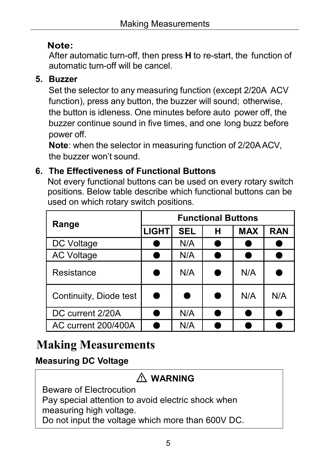#### **Note:**

After automatic turn-off, then press **H** to re-start, the function of automatic turn-off will be cancel.

#### **5. Buzzer**

Set the selector to any measuring function (except 2/20A ACV function), press any button, the buzzer will sound; otherwise, the button is idleness. One minutes before auto power off, the buzzer continue sound in five times, and one long buzz before power off.

**Note**: when the selector in measuring function of 2/20AACV, the buzzer won't sound.

#### **6. The Effectiveness of Functional Buttons**

Not every functional buttons can be used on every rotary switch positions. Below table describe which functional buttons can be used on which rotary switch positions.

| Range                  | <b>Functional Buttons</b> |            |   |            |            |
|------------------------|---------------------------|------------|---|------------|------------|
|                        | <b>LIGHT</b>              | <b>SEL</b> | н | <b>MAX</b> | <b>RAN</b> |
| <b>DC Voltage</b>      |                           | N/A        |   |            |            |
| <b>AC Voltage</b>      |                           | N/A        |   |            |            |
| Resistance             |                           | N/A        |   | N/A        |            |
| Continuity, Diode test |                           | G          |   | N/A        | N/A        |
| DC current 2/20A       |                           | N/A        |   |            |            |
| AC current 200/400A    |                           | N/A        |   |            |            |

## <span id="page-7-0"></span>**Making Measurements**

#### <span id="page-7-1"></span>**Measuring DC Voltage**

| $\bigwedge$ WARNING                                |
|----------------------------------------------------|
| <b>Beware of Electrocution</b>                     |
| Pay special attention to avoid electric shock when |
| measuring high voltage.                            |
| Do not input the voltage which more than 600V DC.  |
|                                                    |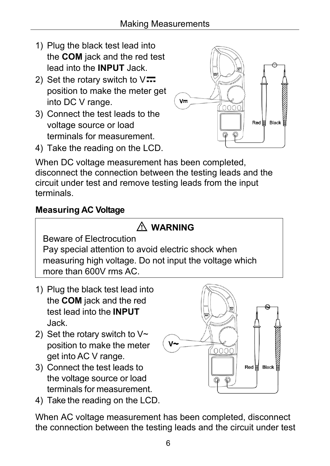- 1) Plug the black test lead into the **COM** jack and the red test lead into the **INPUT** Jack.
- 2) Set the rotary switch to  $\sqrt{1}$ position to make the meter get into DC V range.
- 3) Connect the test leads to the voltage source or load terminals for measurement.



 $Red \nvert\equiv$  Black

4) Take the reading on the LCD. When DC voltage measurement has been completed, disconnect the connection between the testing leads and the

circuit under test and remove testing leads from the input terminals.

#### <span id="page-8-0"></span>**Measuring AC Voltage**

## **WARNING**

Beware of Electrocution Pay special attention to avoid electric shock when measuring high voltage. Do not input the voltage which more than 600V rms AC.

- 1) Plug the black test lead into the **COM** jack and the red test lead into the **INPUT** Jack.
- 2) Set the rotary switch to  $V \sim$ position to make the meter get into AC V range.
- 3) Connect the test leads to the voltage source or load terminals for measurement.
- 4) Take the reading on the LCD.

When AC voltage measurement has been completed, disconnect the connection between the testing leads and the circuit under test

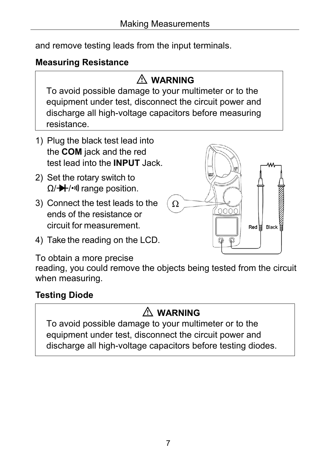and remove testing leads from the input terminals.

#### <span id="page-9-0"></span>**Measuring Resistance**

## **WARNING**

To avoid possible damage to your multimeter or to the equipment under test, disconnect the circuit power and discharge all high-voltage capacitors before measuring resistance.

- 1) Plug the black test lead into the **COM** jack and the red test lead into the **INPUT** Jack.
- 2) Set the rotary switch to  $\Omega$ / $\rightarrow$  / $\cdot$ <sup>1</sup>) range position.
- 3) Connect the test leads to the ends of the resistance or circuit for measurement.
- 4) Take the reading on the LCD.



To obtain a more precise

reading, you could remove the objects being tested from the circuit when measuring.

#### <span id="page-9-1"></span>**Testing Diode**

## **WARNING**

To avoid possible damage to your multimeter or to the equipment under test, disconnect the circuit power and discharge all high-voltage capacitors before testing diodes.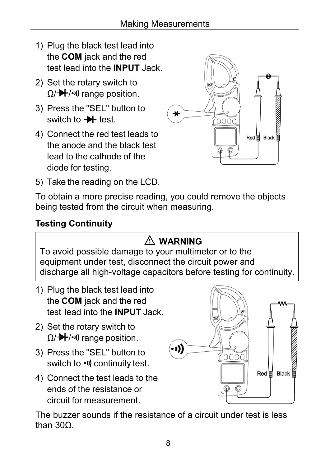- 1) Plug the black test lead into the **COM** jack and the red test lead into the **INPUT** Jack.
- 2) Set the rotary switch to  $\Omega$ / $\rightarrow$  / $\cdot$ <sup>1</sup>) range position.
- 3) Press the "SEL" button to switch to  $\rightarrow$  test.
- 4) Connect the red test leads to the anode and the black test lead to the cathode of the diode for testing.



5) Take the reading on the LCD.

To obtain a more precise reading, you could remove the objects being tested from the circuit when measuring.

#### <span id="page-10-0"></span>**Testing Continuity**

## **WARNING**

To avoid possible damage to your multimeter or to the equipment under test, disconnect the circuit power and discharge all high-voltage capacitors before testing for continuity.

- 1) Plug the black test lead into the **COM** jack and the red test lead into the **INPUT** Jack.
- 2) Set the rotary switch to  $\Omega$ / $\rightarrow$  / $\cdot$ <sup>1</sup>) range position.
- 3) Press the "SEL" button to switch to  $\cdot$ <sup>1</sup>) continuity test.
- 4) Connect the test leads to the ends of the resistance or circuit for measurement.



The buzzer sounds if the resistance of a circuit under test is less than 30Ω.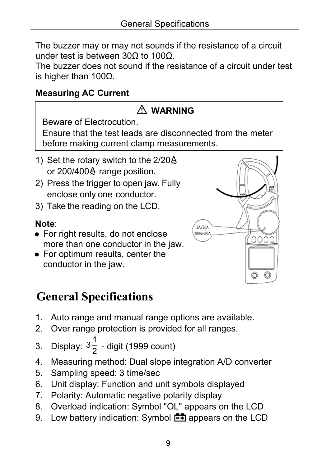The buzzer may or may not sounds if the resistance of a circuit under test is between 30Ω to 100Ω.

The buzzer does not sound if the resistance of a circuit under test is higher than 100Ω.

#### <span id="page-11-0"></span>**Measuring AC Current**

| $\triangle$ WARNING                                                                                     |
|---------------------------------------------------------------------------------------------------------|
| Beware of Electrocution.                                                                                |
| Ensure that the test leads are disconnected from the meter<br>before making current clamp measurements. |
| 1) Set the rotary switch to the 2/20A<br>or 200/400A range position.                                    |
| 2) Press the trigger to open jaw. Fully                                                                 |

- enclose only one conductor.
- 3) Take the reading on the LCD.

#### **Note**:

- For right results, do not enclose more than one conductor in the jaw.
- For optimum results, center the conductor in the jaw.



## <span id="page-11-1"></span>**General Specifications**

- 1. Auto range and manual range options are available.
- 2. Over range protection is provided for all ranges.
- 3. Display:  $3\frac{1}{2}$  $\frac{1}{2}$  - digit (1999 count)
- 4. Measuring method: Dual slope integration A/D converter
- 5. Sampling speed: 3 time/sec
- 6. Unit display: Function and unit symbols displayed
- 7. Polarity: Automatic negative polarity display
- 8. Overload indication: Symbol "OL" appears on the LCD
- 9. Low battery indication: Symbol  $\mathbb{E}$  appears on the LCD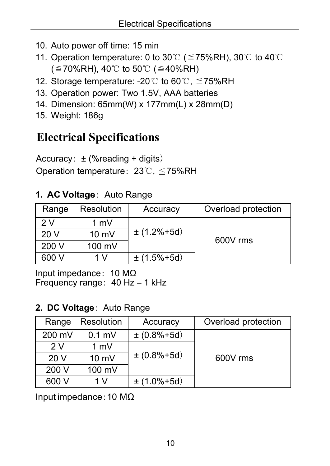- 10. Auto power off time: 15 min
- 11. Operation temperature: 0 to 30°C ( $\leq$  75%RH), 30°C to 40°C ( $\leq$ 70%RH), 40℃ to 50℃ ( $\leq$ 40%RH)
- 12. Storage temperature: -20℃ to 60℃, ≦75%RH
- 13. Operation power: Two 1.5V, AAA batteries
- 14. Dimension: 65mm(W) x 177mm(L) x 28mm(D)
- <span id="page-12-0"></span>15. Weight: 186g

## **Electrical Specifications**

Accuracy: ± (%reading + digits) Operation temperature: 23℃, ≦75%RH

#### **1. AC Voltage**: Auto Range

| Range           | <b>Resolution</b> | Accuracy        | Overload protection |
|-----------------|-------------------|-----------------|---------------------|
| 2 V             | $1 \text{ mV}$    |                 |                     |
| 20 <sub>V</sub> | $10 \text{ mV}$   | $\pm$ (1.2%+5d) | 600V rms            |
| 200 V           | 100 mV            |                 |                     |
| 600 V           | 1 V               | $\pm$ (1.5%+5d) |                     |

Input impedance: 10 MΩ Frequency range: 40 Hz – 1 kHz

#### **2. DC Voltage**: Auto Range

| Range  | <b>Resolution</b> | Accuracy           | Overload protection |
|--------|-------------------|--------------------|---------------------|
| 200 mV | $0.1$ mV          | $\pm (0.8\% + 5d)$ |                     |
| 2V     | 1 mV              |                    |                     |
| 20V    | 10 mV             | $\pm (0.8\% + 5d)$ | 600V rms            |
| 200 V  | 100 mV            |                    |                     |
| 600 V  | 1 V               | $\pm$ (1.0%+5d)    |                     |

Input impedance:10 MΩ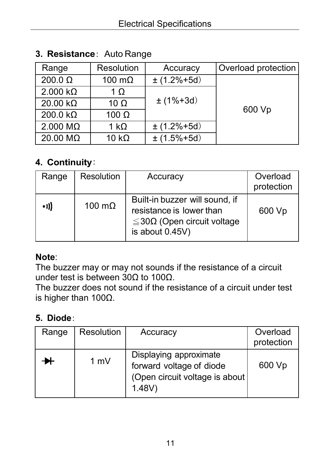| Range                   | <b>Resolution</b> | Accuracy         | Overload protection |
|-------------------------|-------------------|------------------|---------------------|
| 200.0 $\Omega$          | 100 m $\Omega$    | $\pm$ (1.2%+5d)  |                     |
| $2.000 k\Omega$         | 1 $\Omega$        |                  |                     |
| 20.00 $k\Omega$         | 10 $\Omega$       | $\pm (1\% + 3d)$ |                     |
| 200.0 $k\Omega$         | 100 $\Omega$      |                  | 600 Vp              |
| $2.000 \text{ M}\Omega$ | 1 k $\Omega$      | $\pm$ (1.2%+5d)  |                     |
| 20.00 $M\Omega$         | 10 $k\Omega$      | $\pm$ (1.5%+5d)  |                     |

#### **3. Resistance**: Auto Range

#### **4. Continuity**:

| Range        | <b>Resolution</b> | Accuracy                                                                                                          | Overload<br>protection |
|--------------|-------------------|-------------------------------------------------------------------------------------------------------------------|------------------------|
| $\bullet$ )) | 100 $m\Omega$     | Built-in buzzer will sound, if<br>resistance is lower than<br>$\leq$ 30Ω (Open circuit voltage<br>is about 0.45V) | 600 Vp                 |

#### **Note**:

The buzzer may or may not sounds if the resistance of a circuit under test is between 30Ω to 100Ω.

The buzzer does not sound if the resistance of a circuit under test is higher than 100Ω.

#### **5. Diode**:

| Range | Resolution | Accuracy                                                                                          | Overload<br>protection |
|-------|------------|---------------------------------------------------------------------------------------------------|------------------------|
|       | 1 mV       | Displaying approximate<br>forward voltage of diode<br>(Open circuit voltage is about<br>$1.48V$ ) | 600 Vp                 |